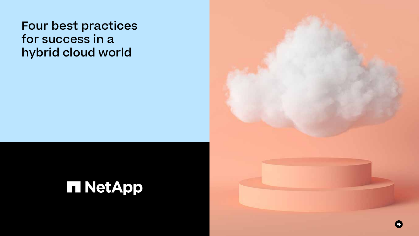# Four best practices for success in a hybrid cloud world

**TINetApp** 

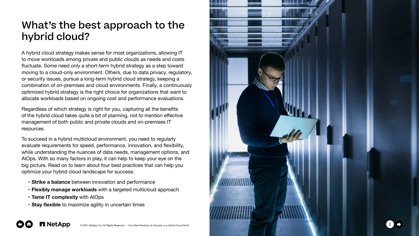



#### What's the best approach to the hybrid cloud?

A hybrid cloud strategy makes sense for most organizations, allowing IT to move workloads among private and public clouds as needs and costs fluctuate. Some need only a short-term hybrid strategy as a step toward moving to a cloud-only environment. Others, due to data privacy, regulatory, or security issues, pursue a long-term hybrid cloud strategy, keeping a combination of on-premises and cloud environments. Finally, a continuously optimized hybrid strategy is the right choice for organizations that want to allocate workloads based on ongoing cost and performance evaluations.

Regardless of which strategy is right for you, capturing all the benefits of the hybrid cloud takes quite a bit of planning, not to mention effective management of both public and private clouds and on-premises IT resources.

To succeed in a hybrid multicloud environment, you need to regularly evaluate requirements for speed, performance, innovation, and flexibility, while understanding the nuances of data needs, management options, and AIOps. With so many factors in play, it can help to keep your eye on the big picture. Read on to learn about four best practices that can help you optimize your hybrid cloud landscape for success:

- **Strike a balance** between innovation and performance
- **Flexibly manage workloads** with a targeted multicloud approach
- **Tame IT complexity** with AIOps

 $\mathbf{O} \mathbf{O}$ 

• **Stay flexible** to maximize agility in uncertain times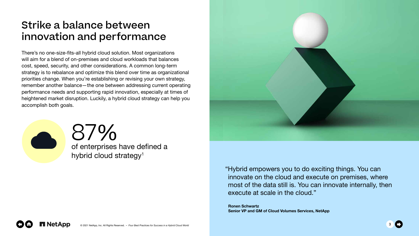87 of enterprises have defined a  $\frac{0}{0}$ hybrid cloud strategy<sup>1</sup>





"Hybrid empowers you to do exciting things. You can innovate on the cloud and execute on premises, where most of the data still is. You can innovate internally, then execute at scale in the cloud."

**Ronen Schwartz Senior VP and GM of Cloud Volumes Services, NetApp**

#### Strike a balance between innovation and performance

There's no one-size-fits-all hybrid cloud solution. Most organizations will aim for a blend of on-premises and cloud workloads that balances cost, speed, security, and other considerations. A common long-term strategy is to rebalance and optimize this blend over time as organizational priorities change. When you're establishing or revising your own strategy, remember another balance—the one between addressing current operating performance needs and supporting rapid innovation, especially at times of heightened market disruption. Luckily, a hybrid cloud strategy can help you accomplish both goals.

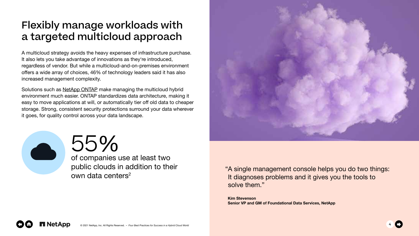#### 55 of companies use at least two  $\frac{0}{0}$

public clouds in addition to their own data centers<sup>2</sup>





"A single management console helps you do two things: It diagnoses problems and it gives you the tools to solve them."

**Kim Stevenson Senior VP and GM of Foundational Data Services, NetApp**



## Flexibly manage workloads with a targeted multicloud approach

A multicloud strategy avoids the heavy expenses of infrastructure purchase. It also lets you take advantage of innovations as they're introduced, regardless of vendor. But while a multicloud-and-on-premises environment offers a wide array of choices, 46% of technology leaders said it has also increased management complexity.

Solutions such as [NetApp ONTAP](https://www.netapp.com/data-management/ontap-data-management-software/) make managing the multicloud hybrid environment much easier. ONTAP standardizes data architecture, making it easy to move applications at will, or automatically tier off old data to cheaper storage. Strong, consistent security protections surround your data wherever it goes, for quality control across your data landscape.

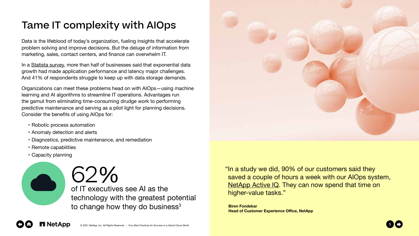#### 62 of IT executives see AI as the  $\frac{0}{0}$ technology with the greatest potential

to change how they do business $3$ 





In a [Statista survey,](https://www.statista.com/statistics/1010739/worldwide-data-exponential-growth-challenges/) more than half of businesses said that exponential data growth had made application performance and latency major challenges. And 41% of respondents struggle to keep up with data storage demands.

# Tame IT complexity with AIOps

Data is the lifeblood of today's organization, fueling insights that accelerate problem solving and improve decisions. But the deluge of information from marketing, sales, contact centers, and finance can overwhelm IT.

Organizations can meet these problems head on with AIOps—using machine learning and AI algorithms to streamline IT operations. Advantages run the gamut from eliminating time-consuming drudge work to performing predictive maintenance and serving as a pilot light for planning decisions. Consider the benefits of using AIOps for:

- Robotic process automation
- Anomaly detection and alerts
- Diagnostics, predictive maintenance, and remediation
- Remote capabilities
- Capacity planning

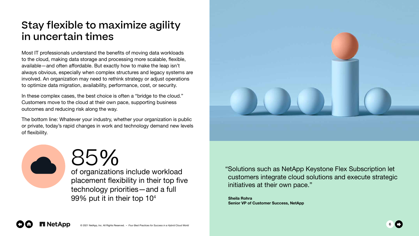### Stay flexible to maximize agility in uncertain times

Most IT professionals understand the benefits of moving data workloads to the cloud, making data storage and processing more scalable, flexible, available—and often affordable. But exactly how to make the leap isn't always obvious, especially when complex structures and legacy systems are involved. An organization may need to rethink strategy or adjust operations to optimize data migration, availability, performance, cost, or security.

In these complex cases, the best choice is often a "bridge to the cloud." Customers move to the cloud at their own pace, supporting business outcomes and reducing risk along the way.

The bottom line: Whatever your industry, whether your organization is public or private, today's rapid changes in work and technology demand new levels of flexibility.



85 of organizations include workload  $\frac{0}{0}$ placement flexibility in their top five technology priorities—and a full 99% put it in their top 10<sup>4</sup>





initiatives at their own pace."

**Sheila Rohra Senior VP of Customer Success, NetApp**